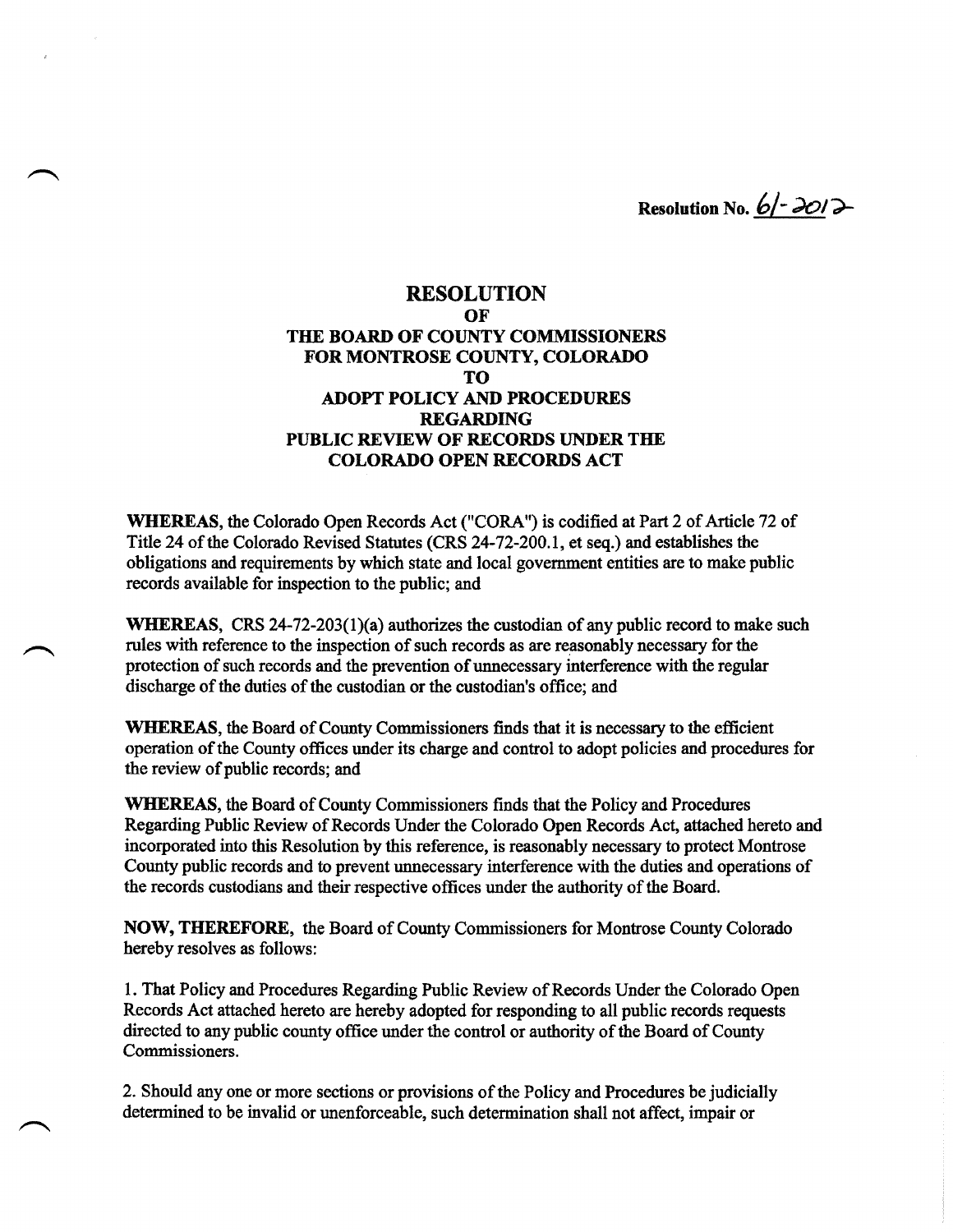**Resolution No.**  $6/- 3012$ 

# **RESOLUTION OF THE BOARD OF COUNTY COMMISSIONERS FOR MONTROSE COUNTY, COLORADO TO ADOPT POLICY AND PROCEDURES REGARDING PUBLIC REVIEW OF RECORDS UNDER THE COLORADO OPEN RECORDS ACT**

**WHEREAS,** the Colorado Open Records Act ("CORA") is codified at Part 2 of Article 72 of Title 24 of the Colorado Revised Statutes (CRS 24-72-200.1, et seq.) and establishes the obligations and requirements by which state and local government entities are to make public records available for inspection to the public; and

**WHEREAS,** CRS 24-72-203(1)(a) authorizes the custodian of any public record to make such rules with reference to the inspection of such records as are reasonably necessary for the protection of such records and the prevention of unnecessary interference with the regular discharge of the duties of the custodian or the custodian's office; and

**WHEREAS,** the Board of County Commissioners finds that it is necessary to the efficient operation of the County offices under its charge and control to adopt policies and procedures for the review of public records; and

**WHEREAS,** the Board of County Commissioners finds that the Policy and Procedures Regarding Public Review of Records Under the Colorado Open Records Act, attached hereto and incorporated into this Resolution by this reference, is reasonably necessary to protect Montrose County public records and to prevent unnecessary interference with the duties and operations of the records custodians and their respective offices under the authority of the Board.

**NOW, THEREFORE,** the Board of County Commissioners for Montrose County Colorado hereby resolves as follows:

1. That Policy and Procedures Regarding Public Review of Records Under the Colorado Open Records Act attached hereto are hereby adopted for responding to all public records requests directed to any public county office under the control or authority of the Board of County Commissioners.

2. Should any one or more sections or provisions of the Policy and Procedures be judicially determined to be invalid or unenforceable, such determination shall not affect, impair or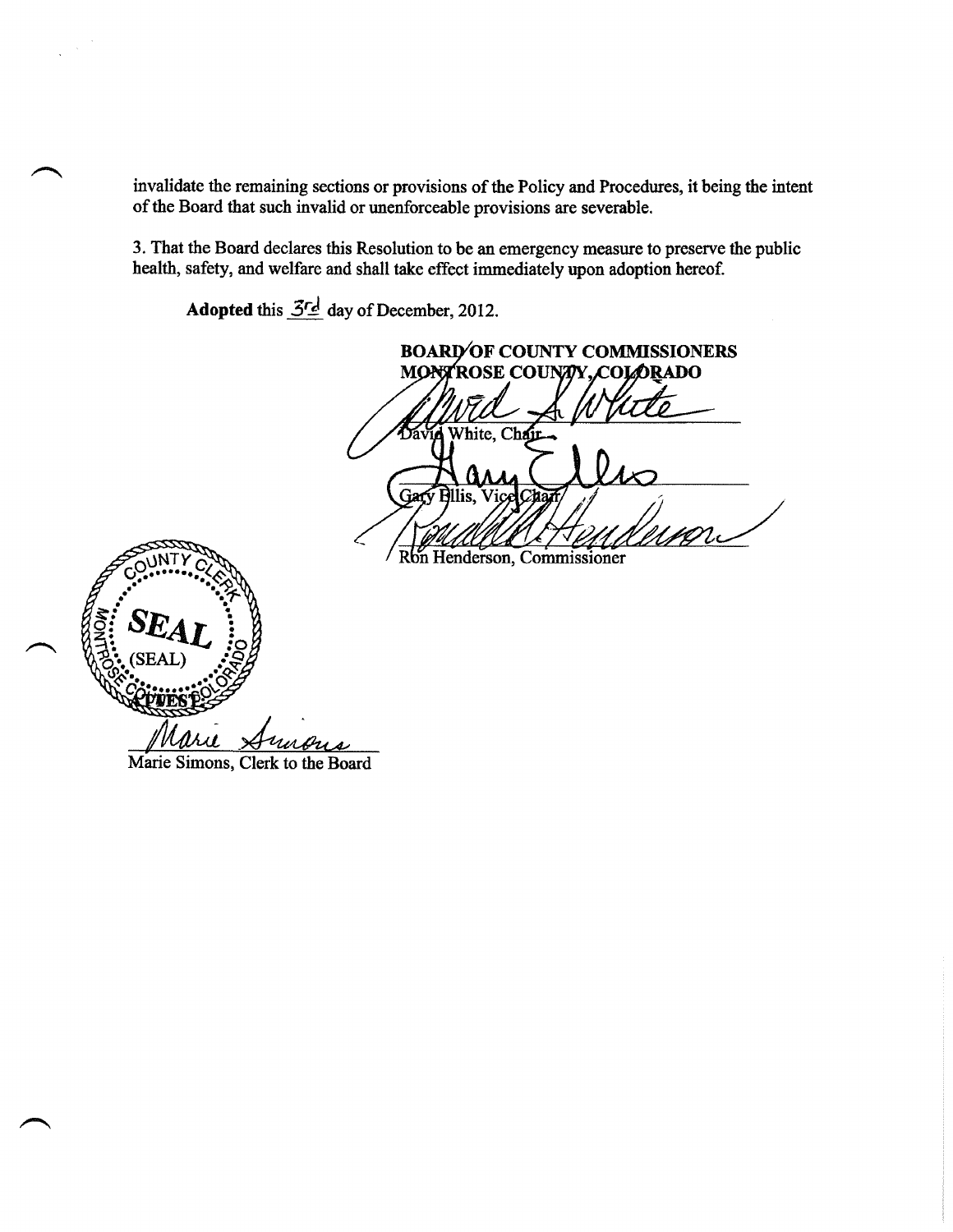invalidate the remaining sections or provisions of the Policy and Procedures, it being the intent of the Board that such invalid or unenforceable provisions are severable.

3. That the Board declares this Resolution to be an emergency measure to preserve the public health, safety, and welfare and shall take effect immediately upon adoption hereof.

**Adopted** this *5rA* day of December, 2012.

**BOARD OF COUNTY COMMISSIONERS<br>MONTROSE COUNTY, COLORADO** White, Chai Gary **Ellis,** ice  $\overline{c}$ 

Ron Henderson, Commissioner



Marie Simons, Clerk to the Board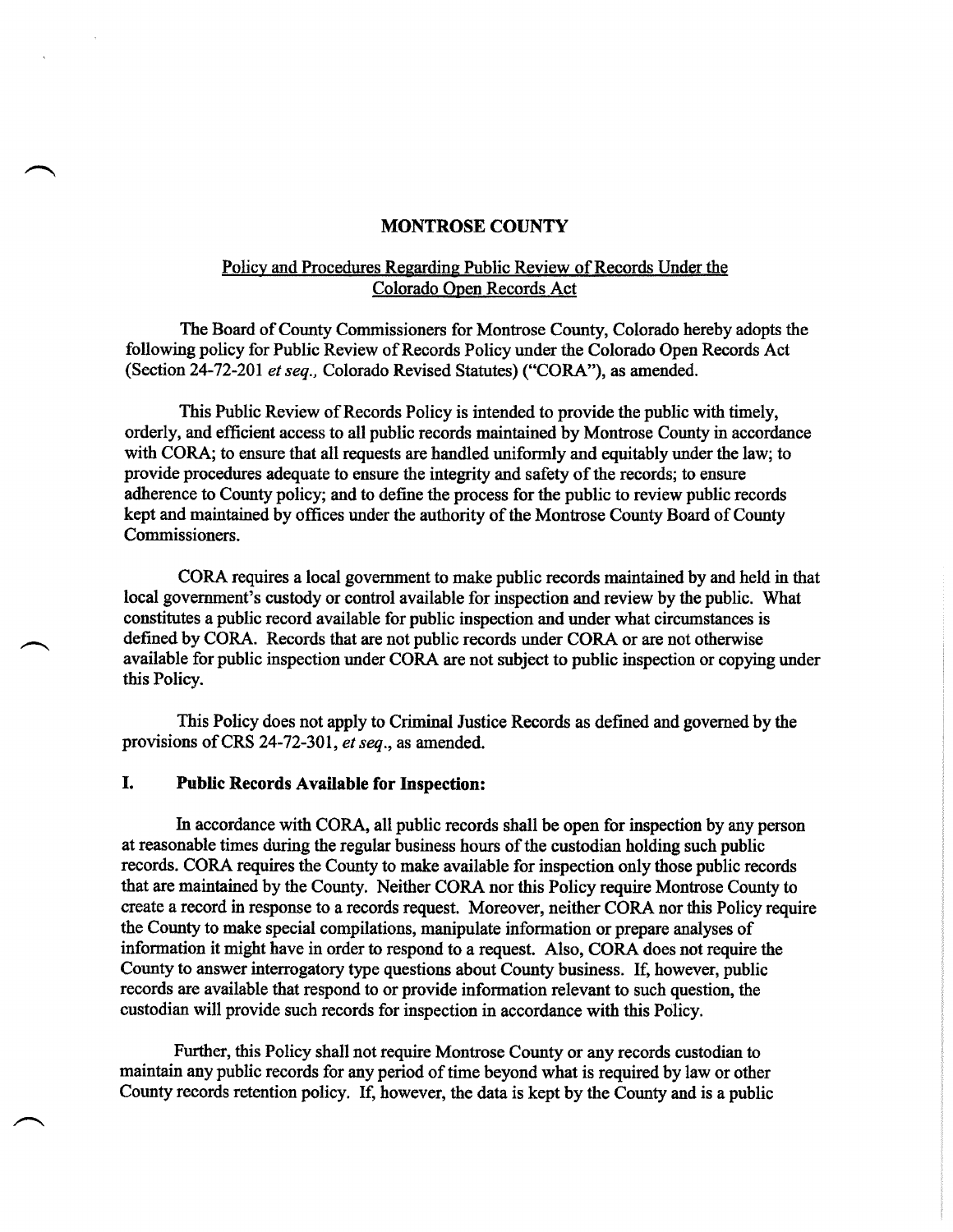### **MONTROSE COUNTY**

## Policv and Procedures Regarding Public Review of Records Under the Colorado Open Records Act

The Board of County Commissioners for Montrose County, Colorado hereby adopts the following policy for Public Review of Records Policy under the Colorado Open Records Act (Section 24-72-201 et seq., Colorado Revised Statutes) ("CORA"), as amended.

This Public Review of Records Policy is intended to provide the public with timely, orderly, and efficient access to all public records maintained by Montrose County in accordance with CORA; to ensure that all requests are handled uniformly and equitably under the law; to provide procedures adequate to ensure the integrity and safety of the records; to ensure adherence to County policy; and to define the process for the public to review public records kept and maintained by offices under the authority of the Montrose County Board of County Commissioners.

CORA requires a local government to make public records maintained by and held in that local government's custody or control available for inspection and review by the public. What constitutes a public record available for public inspection and under what circumstances is defined by CORA. Records that are not public records under CORA or are not otherwise available for public inspection under CORA are not subject to public inspection or copying under this Policy.

This Policy does not apply to Criminal Justice Records as defined and governed by the provisions of CRS 24-72-301, *et seq.*, as amended.

## **I. Public Records Available for Inspection:**

In accordance with CORA, all public records shall be open for inspection by any person at reasonable times during the regular business hours of the custodian holding such public records. CORA requires the County to make available for inspection only those public records that are maintained by the County. Neither CORA nor this Policy require Montrose County to create a record in response to a records request. Moreover, neither CORA nor this Policy require the County to make special compilations, manipulate information or prepare analyses of information it might have in order to respond to a request. Also, CORA does not require the County to answer interrogatory type questions about County business. If, however, public records are available that respond to or provide information relevant to such question, the custodian will provide such records for inspection in accordance with this Policy.

Further, this Policy shall not require Montrose County or any records custodian to maintain any public records for any period of time beyond what is required by law or other County records retention policy. If, however, the data is kept by the County and is a public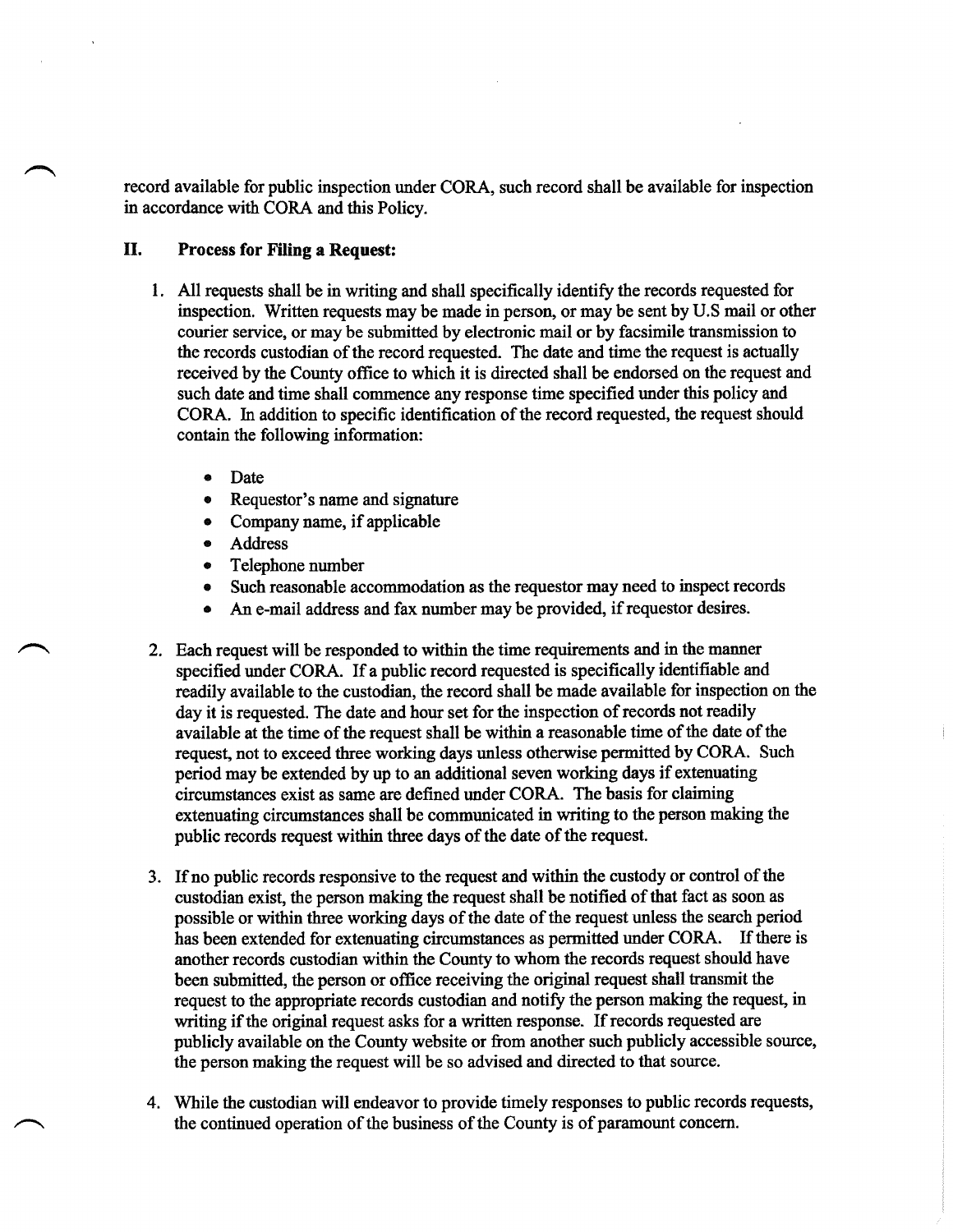record available for public inspection under CORA, such record shall be available for inspection in accordance with CORA and this Policy.

## **II. Process for Filing a Request:**

- 1. All requests shall be in writing and shall specifically identify the records requested for inspection. Written requests may be made in person, or may be sent by U.S mail or other courier service, or may be submitted by electronic mail or by facsimile transmission to the records custodian of the record requested. The date and time the request is actually received by the County office to which it is directed shall be endorsed on the request and such date and time shall commence any response time specified under this policy and CORA. In addition to specific identification of the record requested, the request should contain the following information:
	- Date
	- Requestor's name and signature
	- Company name, if applicable
	- **Address**
	- Telephone number
	- Such reasonable accommodation as the requestor may need to inspect records
	- An e-mail address and fax number may be provided, if requestor desires.
- 2. Each request will be responded to within the time requirements and in the manner specified under CORA. If a public record requested is specifically identifiable and readily available to the custodian, the record shall be made available for inspection on the day it is requested. The date and hour set for the inspection of records not readily available at the time of the request shall be within a reasonable time of the date of the request, not to exceed three working days unless otherwise permitted by CORA. Such period may be extended by up to an additional seven working days if extenuating circumstances exist as same are defined under CORA. The basis for claiming extenuating circumstances shall be communicated in writing to the person making the public records request within three days of the date of the request.
- 3. If no public records responsive to the request and within the custody or control ofthe custodian exist, the person making the request shall be notified of that fact as soon as possible or within three working days of the date of the request unless the search period has been extended for extenuating circumstances as permitted under CORA. If there is another records custodian within the County to whom the records request should have been submitted, the person or office receiving the original request shall transmit the request to the appropriate records custodian and notify the person making the request, in writing if the original request asks for a written response. If records requested are publicly available on the County website or from another such publicly accessible source, the person making the request will be so advised and directed to that source.
- 4. While the custodian will endeavor to provide timely responses to public records requests, the continued operation of the business of the County is of paramount concern.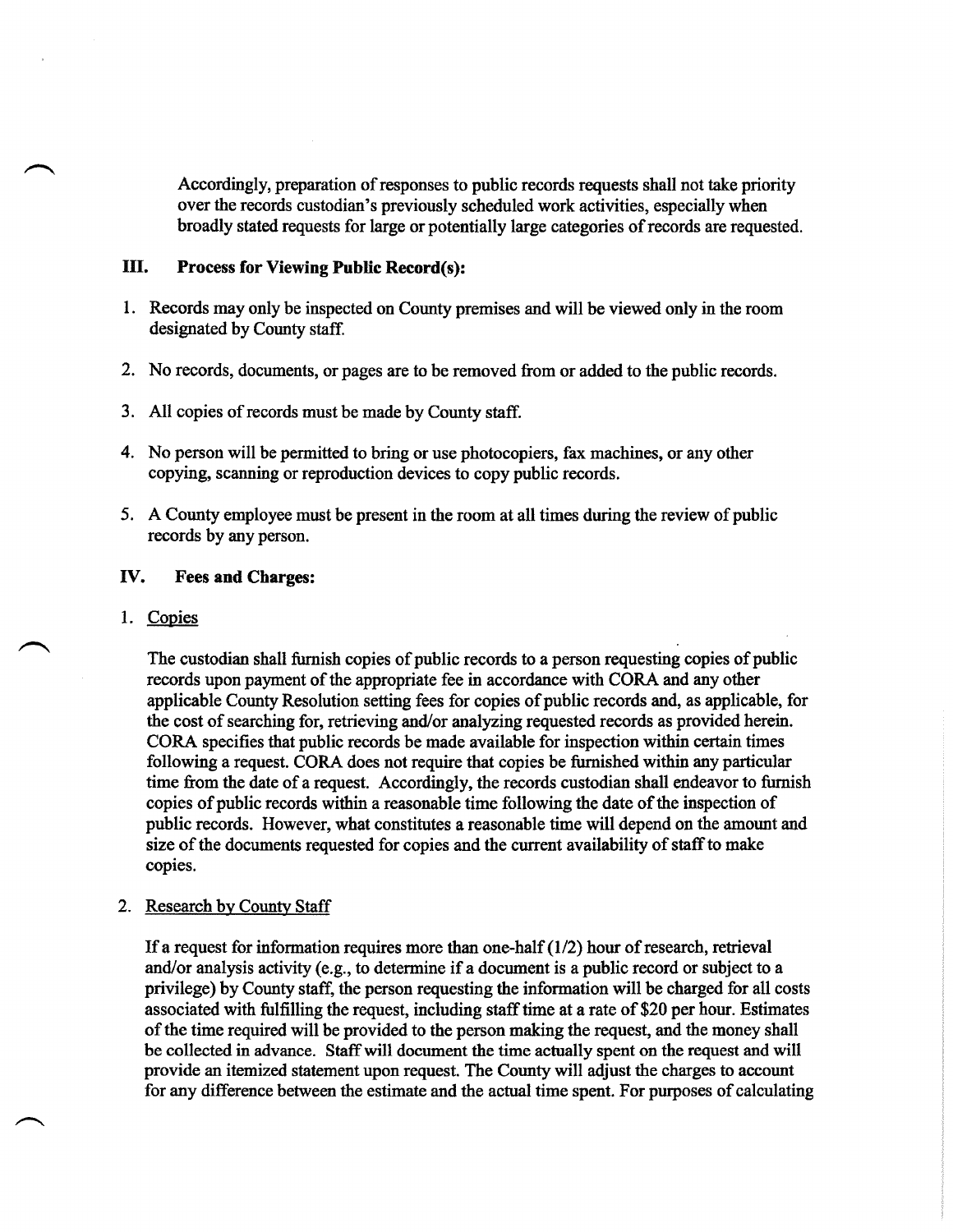Accordingly, preparation of responses to public records requests shall not take priority over the records custodian's previously scheduled work activities, especially when broadly stated requests for large or potentially large categories of records are requested.

# **III. Process for Viewing Public Record(s):**

- 1. Records may only be inspected on County premises and will be viewed only in the room designated by County staff.
- 2. No records, documents, or pages are to be removed from or added to the public records.
- 3. All copies of records must be made by County staff.
- 4. No person will be permitted to bring or use photocopiers, fax machines, or any other copying, scanning or reproduction devices to copy public records.
- 5. A County employee must be present in the room at all times during the review of public records by any person.

### **IV. Fees and Charges:**

### 1. Copies

The custodian shall furnish copies of public records to a person requesting copies of public records upon payment of the appropriate fee in accordance with CORA and any other applicable County Resolution setting fees for copies of public records and, as applicable, for the cost of searching for, retrieving and/or analyzing requested records as provided herein. CORA specifies that public records be made available for inspection within certain times following a request. CORA does not require that copies be furnished within any particular time from the date of a request. Accordingly, the records custodian shall endeavor to furnish copies of public records within a reasonable time following the date of the inspection of public records. However, what constitutes a reasonable time will depend on the amount and size of the documents requested for copies and the current availability of staff to make copies.

#### 2. Research by County Staff

If a request for information requires more than one-half  $(1/2)$  hour of research, retrieval and/or analysis activity (e.g., to determine if a document is a public record or subject to a privilege) by County staff, the person requesting the information will be charged for all costs associated with fulfilling the request, including staff time at a rate of \$20 per hour. Estimates of the time required will be provided to the person making the request, and the money shall be collected in advance. Staff will document the time actually spent on the request and will provide an itemized statement upon request. The County will adjust the charges to account for any difference between the estimate and the actual time spent. For purposes of calculating